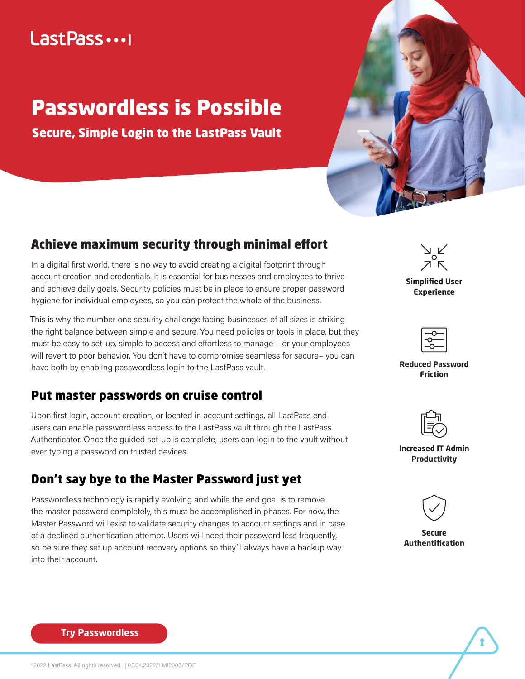## Last Pass ...

# Passwordless is Possible

Secure, Simple Login to the LastPass Vault



### Achieve maximum security through minimal effort

In a digital first world, there is no way to avoid creating a digital footprint through account creation and credentials. It is essential for businesses and employees to thrive and achieve daily goals. Security policies must be in place to ensure proper password hygiene for individual employees, so you can protect the whole of the business.

This is why the number one security challenge facing businesses of all sizes is striking the right balance between simple and secure. You need policies or tools in place, but they must be easy to set-up, simple to access and effortless to manage – or your employees will revert to poor behavior. You don't have to compromise seamless for secure– you can have both by enabling passwordless login to the LastPass vault.

### Put master passwords on cruise control

Upon first login, account creation, or located in account settings, all LastPass end users can enable passwordless access to the LastPass vault through the LastPass Authenticator. Once the guided set-up is complete, users can login to the vault without ever typing a password on trusted devices.

### Don't say bye to the Master Password just yet

Passwordless technology is rapidly evolving and while the end goal is to remove the master password completely, this must be accomplished in phases. For now, the Master Password will exist to validate security changes to account settings and in case of a declined authentication attempt. Users will need their password less frequently, so be sure they set up account recovery options so they'll always have a backup way into their account.



**Simplified User Experience**

**Reduced Password Friction**



**Increased IT Admin Productivity**



**Secure Authentification**

**[Try Passwordless](https://www.lastpass.com/solutions/passwordless-access)**